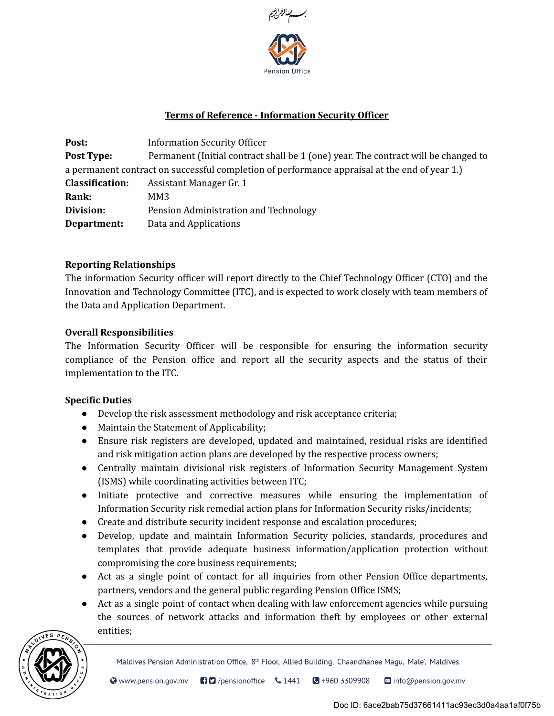

# Terms of Reference - Information Security Officer

Post: Information Security Officer **Post Type:** Permanent (Initial contract shall be 1 (one) year. The contract will be changed to a permanent contract on successful completion of performance appraisal at the end of year 1.) Classification: Assistant Manager Gr. 1 Rank: MM3 Division: Pension Administration and Technology **Department:** Data and Applications

### Reporting Relationships

The information Security officer will report directly to the Chief Technology Officer (CTO) and the Innovation and Technology Committee (ITC), and is expected to work closely with team members of the Data and Application Department.

#### Overall Responsibilities

The Information Security Officer will be responsible for ensuring the information security compliance of the Pension office and report all the security aspects and the status of their implementation to the ITC.

### Specific Duties

- Develop the risk assessment methodology and risk acceptance criteria;
- Maintain the Statement of Applicability;
- Ensure risk registers are developed, updated and maintained, residual risks are identified and risk mitigation action plans are developed by the respective process owners;
- Centrally maintain divisional risk registers of Information Security Management System (ISMS) while coordinating activities between ITC;
- Initiate protective and corrective measures while ensuring the implementation of Information Security risk remedial action plans for Information Security risks/incidents;
- Create and distribute security incident response and escalation procedures;
- Develop, update and maintain Information Security policies, standards, procedures and templates that provide adequate business information/application protection without compromising the core business requirements;
- Act as a single point of contact for all inquiries from other Pension Office departments, partners, vendors and the general public regarding Pension Office ISMS;
- Act as a single point of contact when dealing with law enforcement agencies while pursuing the sources of network attacks and information theft by employees or other external entities;



Maldives Pension Administration Office, 8<sup>th</sup> Floor, Allied Building, Chaandhanee Magu, Male', Maldives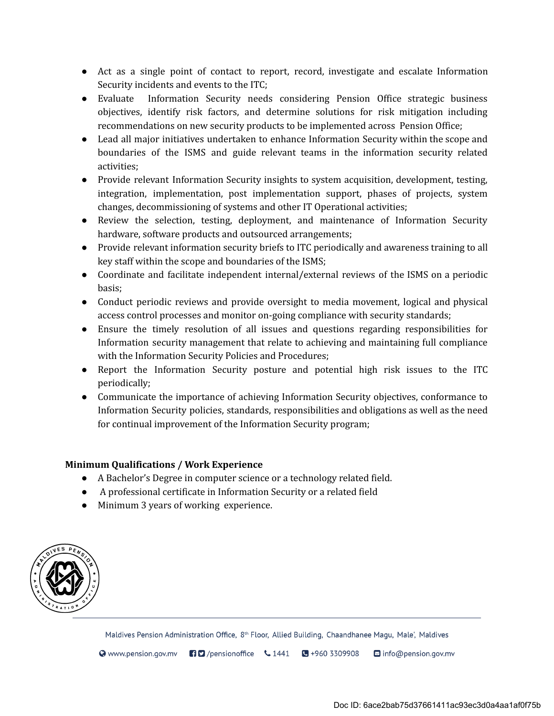- Act as a single point of contact to report, record, investigate and escalate Information Security incidents and events to the ITC;
- Evaluate Information Security needs considering Pension Office strategic business objectives, identify risk factors, and determine solutions for risk mitigation including recommendations on new security products to be implemented across Pension Office;
- Lead all major initiatives undertaken to enhance Information Security within the scope and boundaries of the ISMS and guide relevant teams in the information security related activities;
- Provide relevant Information Security insights to system acquisition, development, testing, integration, implementation, post implementation support, phases of projects, system changes, decommissioning of systems and other IT Operational activities;
- Review the selection, testing, deployment, and maintenance of Information Security hardware, software products and outsourced arrangements;
- Provide relevant information security briefs to ITC periodically and awareness training to all key staff within the scope and boundaries of the ISMS;
- Coordinate and facilitate independent internal/external reviews of the ISMS on a periodic basis;
- Conduct periodic reviews and provide oversight to media movement, logical and physical access control processes and monitor on-going compliance with security standards;
- Ensure the timely resolution of all issues and questions regarding responsibilities for Information security management that relate to achieving and maintaining full compliance with the Information Security Policies and Procedures;
- Report the Information Security posture and potential high risk issues to the ITC periodically;
- Communicate the importance of achieving Information Security objectives, conformance to Information Security policies, standards, responsibilities and obligations as well as the need for continual improvement of the Information Security program;

# Minimum Qualifications / Work Experience

- A Bachelor's Degree in computer science or a technology related field.
- A professional certificate in Information Security or a related field
- Minimum 3 years of working experience.



Maldives Pension Administration Office, 8<sup>th</sup> Floor, Allied Building, Chaandhanee Magu, Male', Maldives

 $\odot$  www.pension.gov.mv  $\bigoplus$  /pensionoffice  $\bigcup$  1441  $\bigoplus$  +960 3309908  $\blacksquare$  info@pension.gov.mv